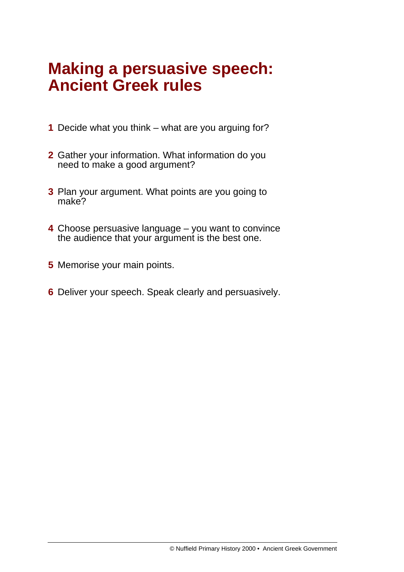# **Making a persuasive speech: Ancient Greek rules**

- **1** Decide what you think what are you arguing for?
- **2** Gather your information. What information do you need to make a good argument?
- **3** Plan your argument. What points are you going to make?
- **4** Choose persuasive language you want to convince the audience that your argument is the best one.
- **5** Memorise your main points.
- **6** Deliver your speech. Speak clearly and persuasively.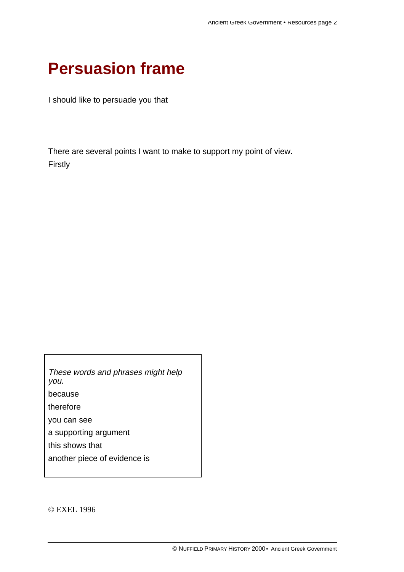### **Persuasion frame**

I should like to persuade you that

There are several points I want to make to support my point of view. Firstly

These words and phrases might help you. because therefore you can see a supporting argument this shows that another piece of evidence is

© EXEL 1996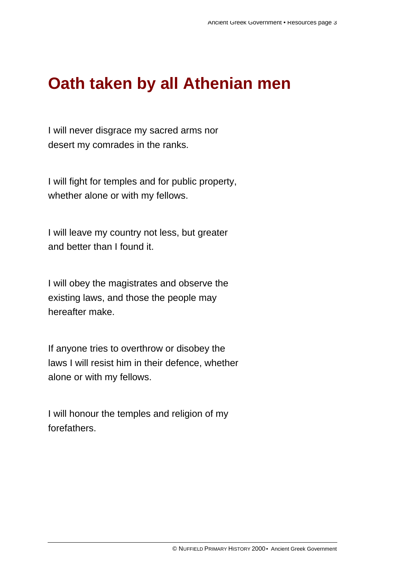# **Oath taken by all Athenian men**

I will never disgrace my sacred arms nor desert my comrades in the ranks.

I will fight for temples and for public property, whether alone or with my fellows.

I will leave my country not less, but greater and better than I found it.

I will obey the magistrates and observe the existing laws, and those the people may hereafter make.

If anyone tries to overthrow or disobey the laws I will resist him in their defence, whether alone or with my fellows.

I will honour the temples and religion of my forefathers.